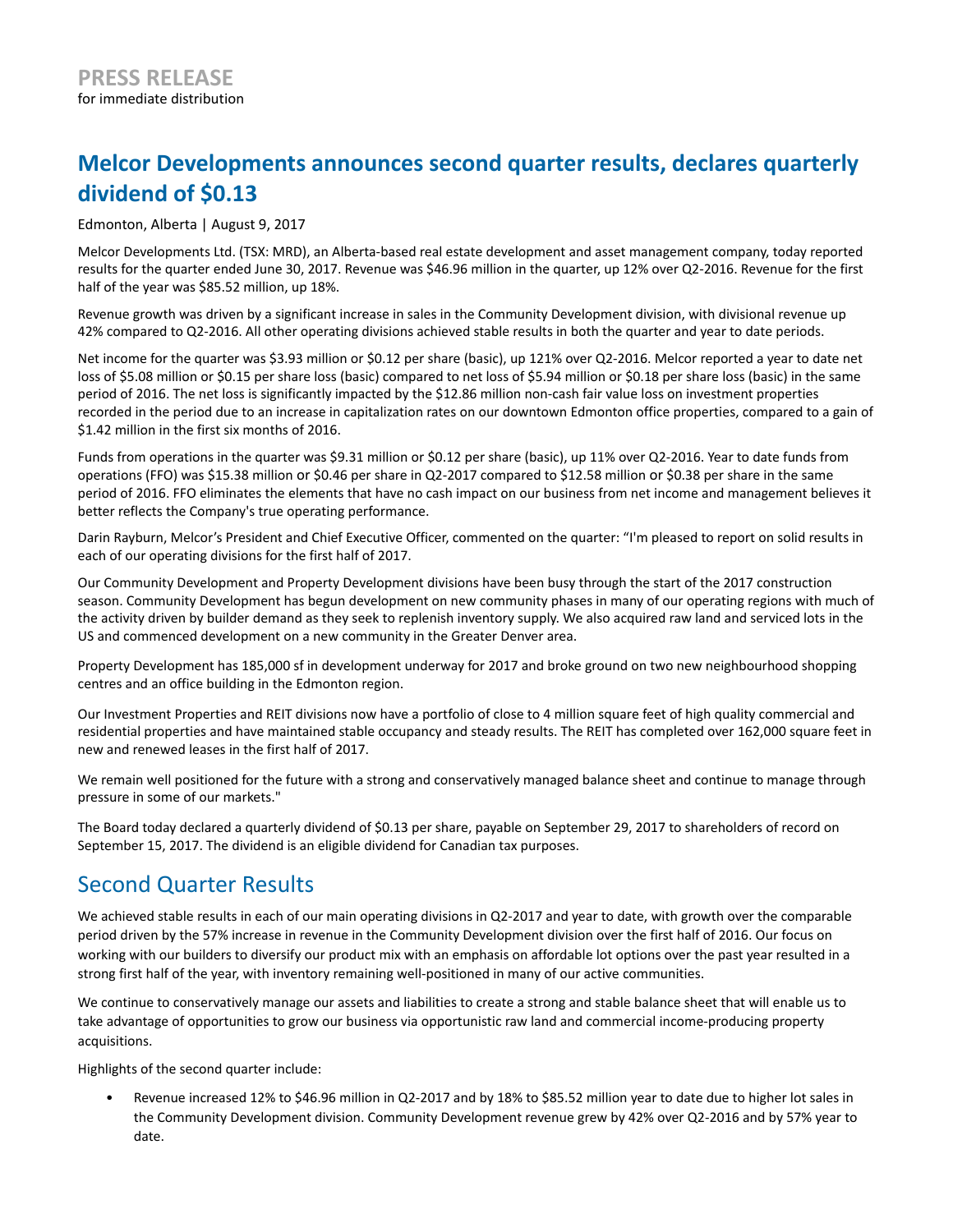# **Melcor Developments announces second quarter results, declares quarterly dividend of \$0.13**

Edmonton, Alberta | August 9, 2017

Melcor Developments Ltd. (TSX: MRD), an Alberta-based real estate development and asset management company, today reported results for the quarter ended June 30, 2017. Revenue was \$46.96 million in the quarter, up 12% over Q2-2016. Revenue for the first half of the year was \$85.52 million, up 18%.

Revenue growth was driven by a significant increase in sales in the Community Development division, with divisional revenue up 42% compared to Q2-2016. All other operating divisions achieved stable results in both the quarter and year to date periods.

Net income for the quarter was \$3.93 million or \$0.12 per share (basic), up 121% over Q2-2016. Melcor reported a year to date net loss of \$5.08 million or \$0.15 per share loss (basic) compared to net loss of \$5.94 million or \$0.18 per share loss (basic) in the same period of 2016. The net loss is significantly impacted by the \$12.86 million non-cash fair value loss on investment properties recorded in the period due to an increase in capitalization rates on our downtown Edmonton office properties, compared to a gain of \$1.42 million in the first six months of 2016.

Funds from operations in the quarter was \$9.31 million or \$0.12 per share (basic), up 11% over Q2-2016. Year to date funds from operations (FFO) was \$15.38 million or \$0.46 per share in Q2-2017 compared to \$12.58 million or \$0.38 per share in the same period of 2016. FFO eliminates the elements that have no cash impact on our business from net income and management believes it better reflects the Company's true operating performance.

Darin Rayburn, Melcor's President and Chief Executive Officer, commented on the quarter: "I'm pleased to report on solid results in each of our operating divisions for the first half of 2017.

Our Community Development and Property Development divisions have been busy through the start of the 2017 construction season. Community Development has begun development on new community phases in many of our operating regions with much of the activity driven by builder demand as they seek to replenish inventory supply. We also acquired raw land and serviced lots in the US and commenced development on a new community in the Greater Denver area.

Property Development has 185,000 sf in development underway for 2017 and broke ground on two new neighbourhood shopping centres and an office building in the Edmonton region.

Our Investment Properties and REIT divisions now have a portfolio of close to 4 million square feet of high quality commercial and residential properties and have maintained stable occupancy and steady results. The REIT has completed over 162,000 square feet in new and renewed leases in the first half of 2017.

We remain well positioned for the future with a strong and conservatively managed balance sheet and continue to manage through pressure in some of our markets."

The Board today declared a quarterly dividend of \$0.13 per share, payable on September 29, 2017 to shareholders of record on September 15, 2017. The dividend is an eligible dividend for Canadian tax purposes.

## Second Quarter Results

We achieved stable results in each of our main operating divisions in Q2-2017 and year to date, with growth over the comparable period driven by the 57% increase in revenue in the Community Development division over the first half of 2016. Our focus on working with our builders to diversify our product mix with an emphasis on affordable lot options over the past year resulted in a strong first half of the year, with inventory remaining well-positioned in many of our active communities.

We continue to conservatively manage our assets and liabilities to create a strong and stable balance sheet that will enable us to take advantage of opportunities to grow our business via opportunistic raw land and commercial income-producing property acquisitions.

Highlights of the second quarter include:

• Revenue increased 12% to \$46.96 million in Q2-2017 and by 18% to \$85.52 million year to date due to higher lot sales in the Community Development division. Community Development revenue grew by 42% over Q2-2016 and by 57% year to date.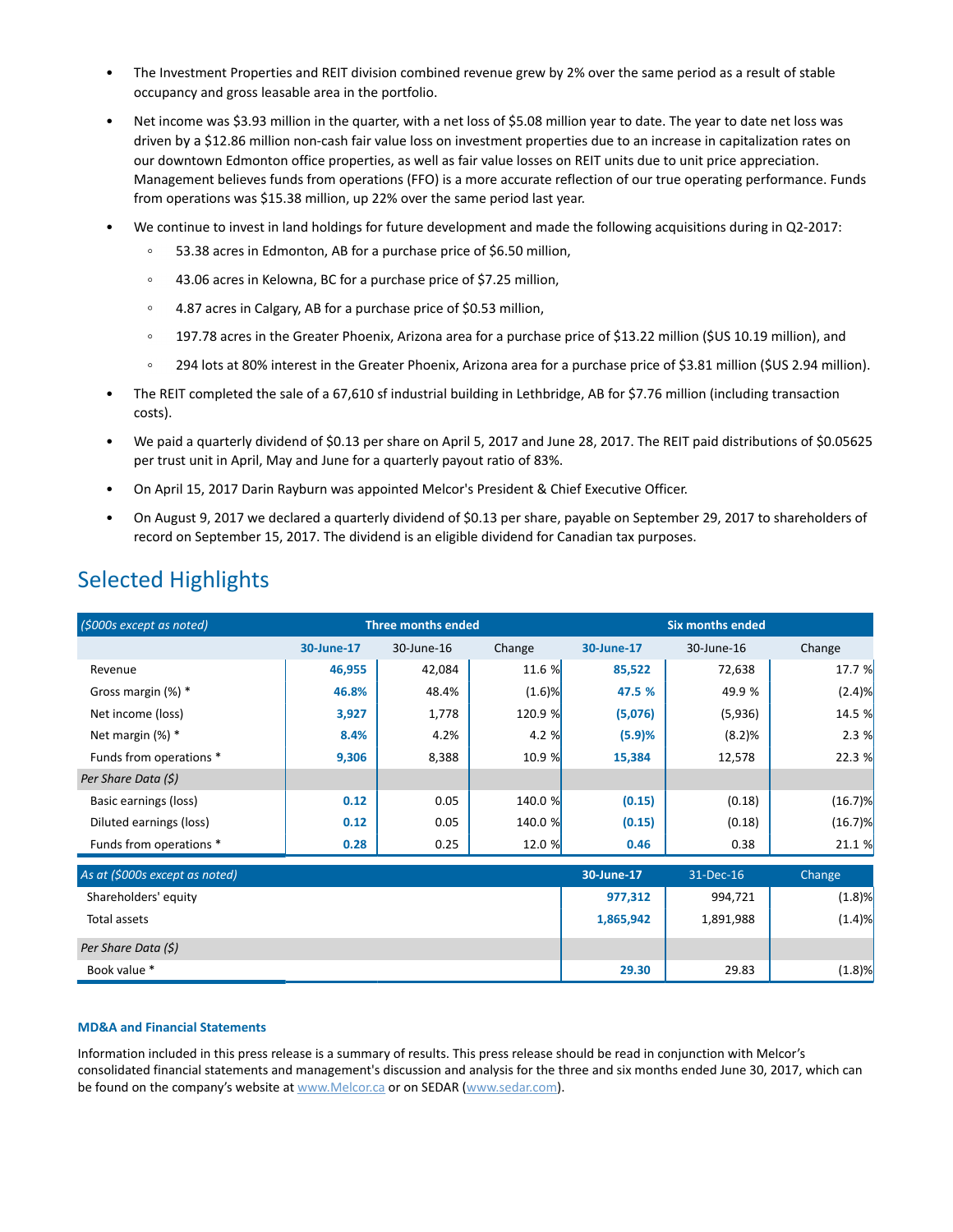- The Investment Properties and REIT division combined revenue grew by 2% over the same period as a result of stable occupancy and gross leasable area in the portfolio.
- Net income was \$3.93 million in the quarter, with a net loss of \$5.08 million year to date. The year to date net loss was driven by a \$12.86 million non-cash fair value loss on investment properties due to an increase in capitalization rates on our downtown Edmonton office properties, as well as fair value losses on REIT units due to unit price appreciation. Management believes funds from operations (FFO) is a more accurate reflection of our true operating performance. Funds from operations was \$15.38 million, up 22% over the same period last year.
- We continue to invest in land holdings for future development and made the following acquisitions during in Q2-2017:
	- 53.38 acres in Edmonton, AB for a purchase price of \$6.50 million,
	- $\circ$ 43.06 acres in Kelowna, BC for a purchase price of \$7.25 million,
	- 4.87 acres in Calgary, AB for a purchase price of \$0.53 million,  $\circ$
	- 197.78 acres in the Greater Phoenix, Arizona area for a purchase price of \$13.22 million (\$US 10.19 million), and  $\circ$
	- $\circ$ 294 lots at 80% interest in the Greater Phoenix, Arizona area for a purchase price of \$3.81 million (\$US 2.94 million).
- The REIT completed the sale of a 67,610 sf industrial building in Lethbridge, AB for \$7.76 million (including transaction costs).
- We paid a quarterly dividend of \$0.13 per share on April 5, 2017 and June 28, 2017. The REIT paid distributions of \$0.05625 per trust unit in April, May and June for a quarterly payout ratio of 83%.
- On April 15, 2017 Darin Rayburn was appointed Melcor's President & Chief Executive Officer.
- On August 9, 2017 we declared a quarterly dividend of \$0.13 per share, payable on September 29, 2017 to shareholders of record on September 15, 2017. The dividend is an eligible dividend for Canadian tax purposes.

| (\$000s except as noted)       | <b>Three months ended</b> |            |           | <b>Six months ended</b> |            |            |
|--------------------------------|---------------------------|------------|-----------|-------------------------|------------|------------|
|                                | 30-June-17                | 30-June-16 | Change    | 30-June-17              | 30-June-16 | Change     |
| Revenue                        | 46,955                    | 42,084     | 11.6 %    | 85,522                  | 72,638     | 17.7 %     |
| Gross margin $(\%)$ *          | 46.8%                     | 48.4%      | $(1.6)$ % | 47.5 %                  | 49.9 %     | (2.4)%     |
| Net income (loss)              | 3,927                     | 1,778      | 120.9 %   | (5,076)                 | (5,936)    | 14.5 %     |
| Net margin $(\%)$ *            | 8.4%                      | 4.2%       | 4.2 %     | (5.9)%                  | (8.2)%     | 2.3%       |
| Funds from operations *        | 9,306                     | 8,388      | 10.9 %    | 15,384                  | 12,578     | 22.3 %     |
| Per Share Data (\$)            |                           |            |           |                         |            |            |
| Basic earnings (loss)          | 0.12                      | 0.05       | 140.0 %   | (0.15)                  | (0.18)     | (16.7)%    |
| Diluted earnings (loss)        | 0.12                      | 0.05       | 140.0 %   | (0.15)                  | (0.18)     | $(16.7)$ % |
| Funds from operations *        | 0.28                      | 0.25       | 12.0 %    | 0.46                    | 0.38       | 21.1 %     |
| As at (\$000s except as noted) |                           |            |           | 30-June-17              | 31-Dec-16  | Change     |
| Shareholders' equity           |                           |            |           | 977,312                 | 994,721    | (1.8)%     |
| Total assets                   |                           |            |           | 1,865,942               | 1,891,988  | (1.4)%     |
| Per Share Data (\$)            |                           |            |           |                         |            |            |
| Book value *                   |                           |            |           | 29.30                   | 29.83      | (1.8)%     |

## Selected Highlights

## **MD&A and Financial Statements**

Information included in this press release is a summary of results. This press release should be read in conjunction with Melcor's consolidated financial statements and management's discussion and analysis for the three and six months ended June 30, 2017, which can be found on the company's website at www.Melcor.ca or on SEDAR (www.sedar.com).